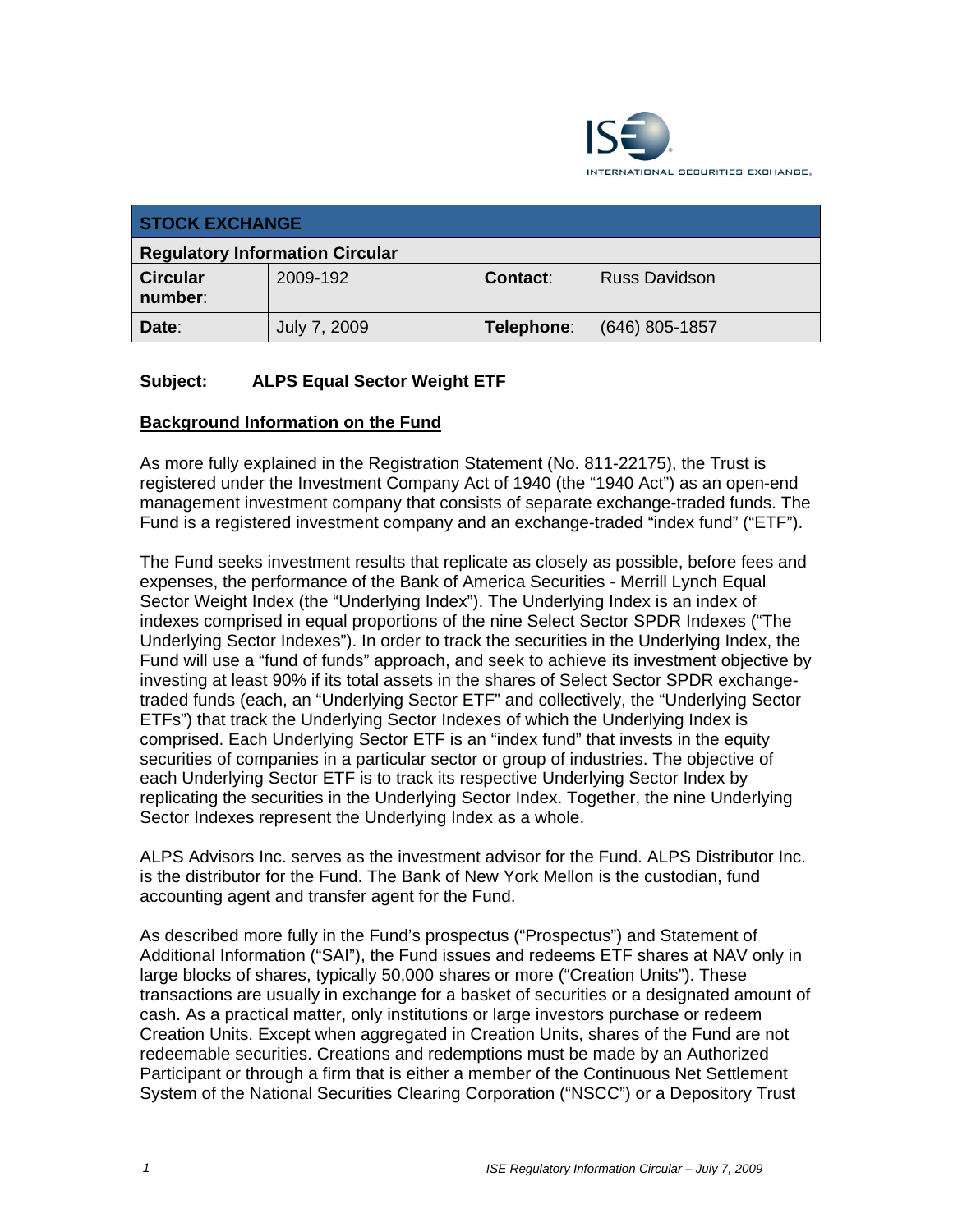

| <b>STOCK EXCHANGE</b>                  |              |                 |                      |  |  |
|----------------------------------------|--------------|-----------------|----------------------|--|--|
| <b>Regulatory Information Circular</b> |              |                 |                      |  |  |
| <b>Circular</b><br>number:             | 2009-192     | <b>Contact:</b> | <b>Russ Davidson</b> |  |  |
| Date:                                  | July 7, 2009 | Telephone:      | $(646)$ 805-1857     |  |  |

## **Subject: ALPS Equal Sector Weight ETF**

#### **Background Information on the Fund**

As more fully explained in the Registration Statement (No. 811-22175), the Trust is registered under the Investment Company Act of 1940 (the "1940 Act") as an open-end management investment company that consists of separate exchange-traded funds. The Fund is a registered investment company and an exchange-traded "index fund" ("ETF").

The Fund seeks investment results that replicate as closely as possible, before fees and expenses, the performance of the Bank of America Securities - Merrill Lynch Equal Sector Weight Index (the "Underlying Index"). The Underlying Index is an index of indexes comprised in equal proportions of the nine Select Sector SPDR Indexes ("The Underlying Sector Indexes"). In order to track the securities in the Underlying Index, the Fund will use a "fund of funds" approach, and seek to achieve its investment objective by investing at least 90% if its total assets in the shares of Select Sector SPDR exchangetraded funds (each, an "Underlying Sector ETF" and collectively, the "Underlying Sector ETFs") that track the Underlying Sector Indexes of which the Underlying Index is comprised. Each Underlying Sector ETF is an "index fund" that invests in the equity securities of companies in a particular sector or group of industries. The objective of each Underlying Sector ETF is to track its respective Underlying Sector Index by replicating the securities in the Underlying Sector Index. Together, the nine Underlying Sector Indexes represent the Underlying Index as a whole.

ALPS Advisors Inc. serves as the investment advisor for the Fund. ALPS Distributor Inc. is the distributor for the Fund. The Bank of New York Mellon is the custodian, fund accounting agent and transfer agent for the Fund.

As described more fully in the Fund's prospectus ("Prospectus") and Statement of Additional Information ("SAI"), the Fund issues and redeems ETF shares at NAV only in large blocks of shares, typically 50,000 shares or more ("Creation Units"). These transactions are usually in exchange for a basket of securities or a designated amount of cash. As a practical matter, only institutions or large investors purchase or redeem Creation Units. Except when aggregated in Creation Units, shares of the Fund are not redeemable securities. Creations and redemptions must be made by an Authorized Participant or through a firm that is either a member of the Continuous Net Settlement System of the National Securities Clearing Corporation ("NSCC") or a Depository Trust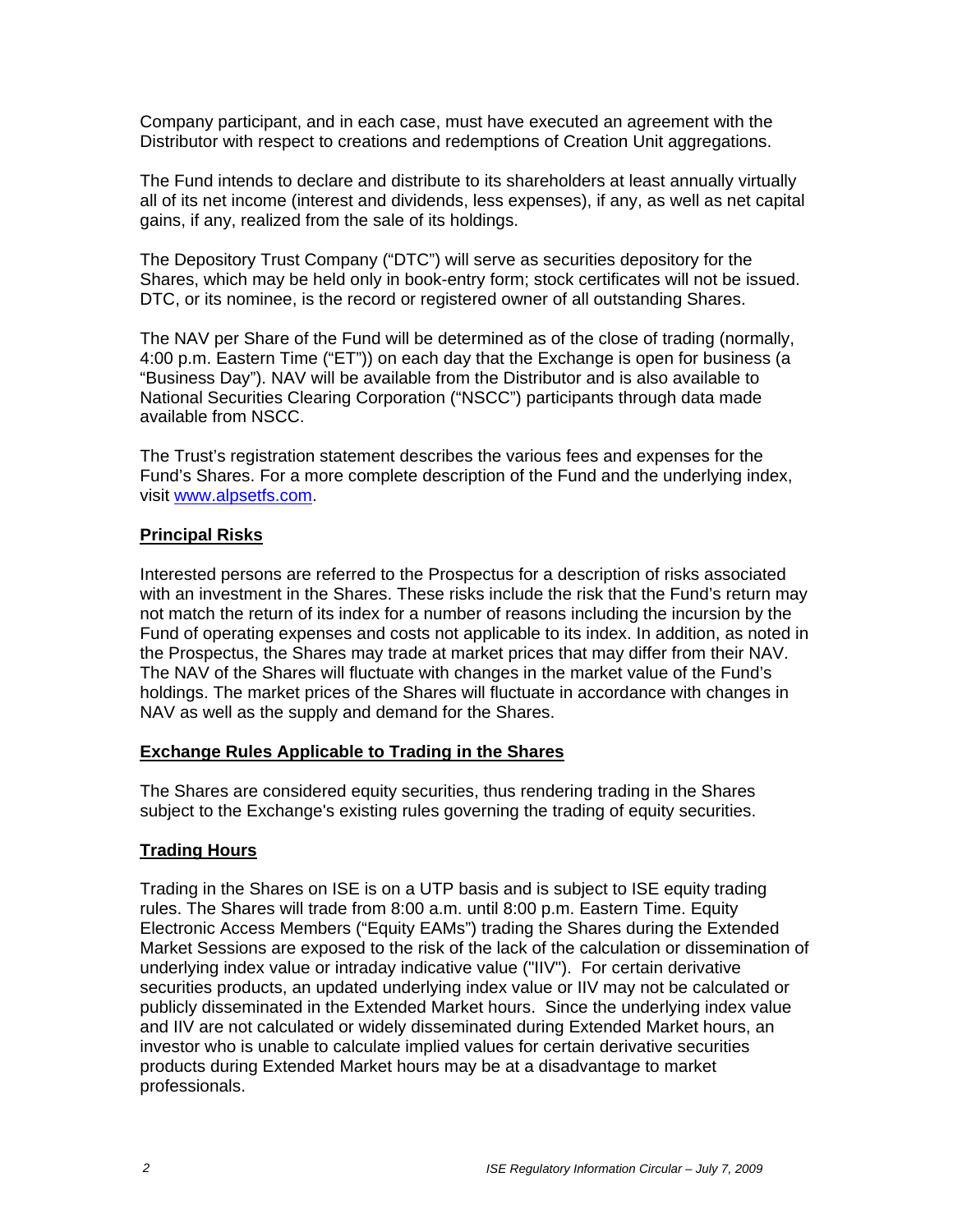Company participant, and in each case, must have executed an agreement with the Distributor with respect to creations and redemptions of Creation Unit aggregations.

The Fund intends to declare and distribute to its shareholders at least annually virtually all of its net income (interest and dividends, less expenses), if any, as well as net capital gains, if any, realized from the sale of its holdings.

The Depository Trust Company ("DTC") will serve as securities depository for the Shares, which may be held only in book-entry form; stock certificates will not be issued. DTC, or its nominee, is the record or registered owner of all outstanding Shares.

The NAV per Share of the Fund will be determined as of the close of trading (normally, 4:00 p.m. Eastern Time ("ET")) on each day that the Exchange is open for business (a "Business Day"). NAV will be available from the Distributor and is also available to National Securities Clearing Corporation ("NSCC") participants through data made available from NSCC.

The Trust's registration statement describes the various fees and expenses for the Fund's Shares. For a more complete description of the Fund and the underlying index, visit www.alpsetfs.com.

#### **Principal Risks**

Interested persons are referred to the Prospectus for a description of risks associated with an investment in the Shares. These risks include the risk that the Fund's return may not match the return of its index for a number of reasons including the incursion by the Fund of operating expenses and costs not applicable to its index. In addition, as noted in the Prospectus, the Shares may trade at market prices that may differ from their NAV. The NAV of the Shares will fluctuate with changes in the market value of the Fund's holdings. The market prices of the Shares will fluctuate in accordance with changes in NAV as well as the supply and demand for the Shares.

#### **Exchange Rules Applicable to Trading in the Shares**

The Shares are considered equity securities, thus rendering trading in the Shares subject to the Exchange's existing rules governing the trading of equity securities.

#### **Trading Hours**

Trading in the Shares on ISE is on a UTP basis and is subject to ISE equity trading rules. The Shares will trade from 8:00 a.m. until 8:00 p.m. Eastern Time. Equity Electronic Access Members ("Equity EAMs") trading the Shares during the Extended Market Sessions are exposed to the risk of the lack of the calculation or dissemination of underlying index value or intraday indicative value ("IIV"). For certain derivative securities products, an updated underlying index value or IIV may not be calculated or publicly disseminated in the Extended Market hours. Since the underlying index value and IIV are not calculated or widely disseminated during Extended Market hours, an investor who is unable to calculate implied values for certain derivative securities products during Extended Market hours may be at a disadvantage to market professionals.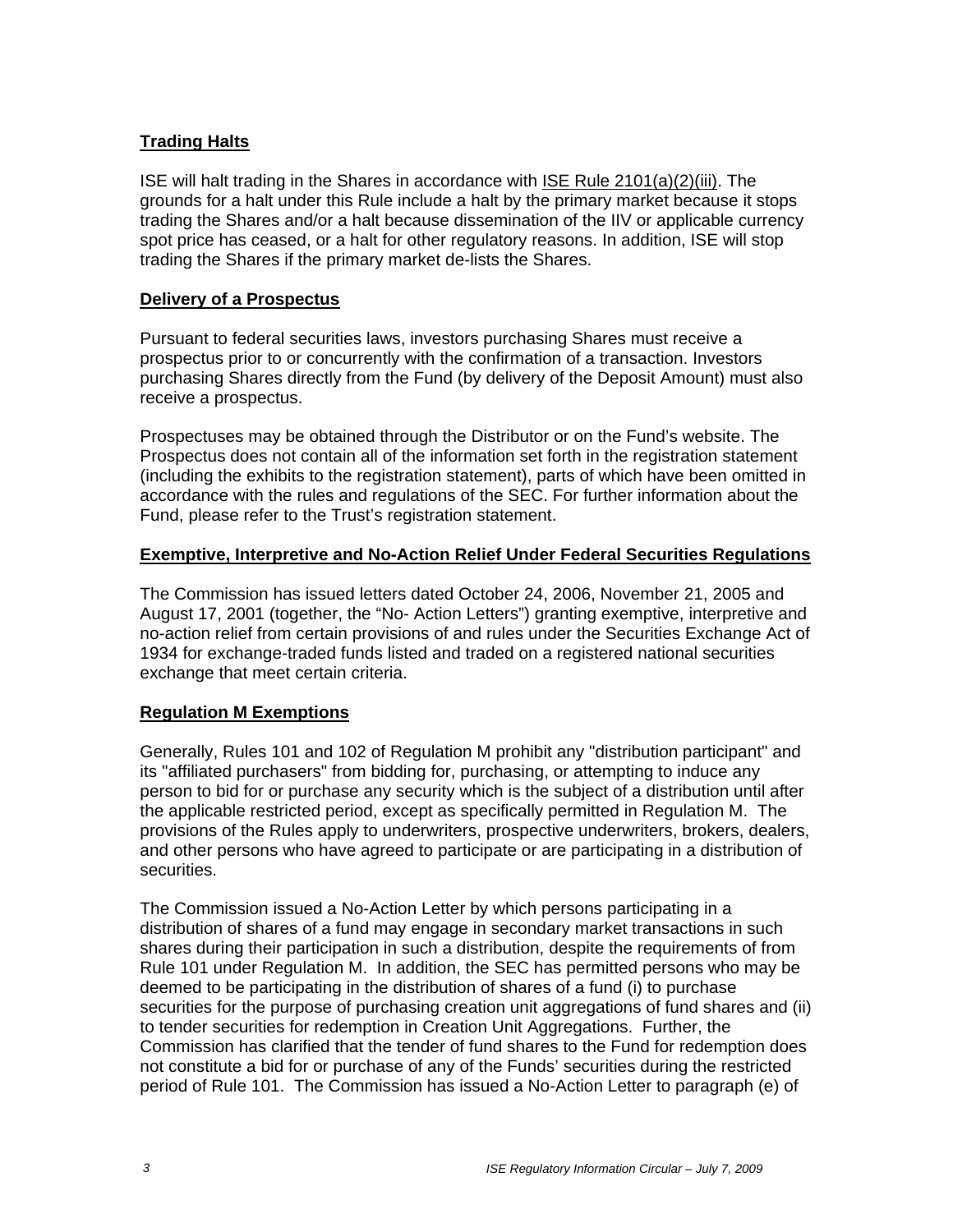## **Trading Halts**

ISE will halt trading in the Shares in accordance with ISE Rule 2101(a)(2)(iii). The grounds for a halt under this Rule include a halt by the primary market because it stops trading the Shares and/or a halt because dissemination of the IIV or applicable currency spot price has ceased, or a halt for other regulatory reasons. In addition, ISE will stop trading the Shares if the primary market de-lists the Shares.

#### **Delivery of a Prospectus**

Pursuant to federal securities laws, investors purchasing Shares must receive a prospectus prior to or concurrently with the confirmation of a transaction. Investors purchasing Shares directly from the Fund (by delivery of the Deposit Amount) must also receive a prospectus.

Prospectuses may be obtained through the Distributor or on the Fund's website. The Prospectus does not contain all of the information set forth in the registration statement (including the exhibits to the registration statement), parts of which have been omitted in accordance with the rules and regulations of the SEC. For further information about the Fund, please refer to the Trust's registration statement.

## **Exemptive, Interpretive and No-Action Relief Under Federal Securities Regulations**

The Commission has issued letters dated October 24, 2006, November 21, 2005 and August 17, 2001 (together, the "No- Action Letters") granting exemptive, interpretive and no-action relief from certain provisions of and rules under the Securities Exchange Act of 1934 for exchange-traded funds listed and traded on a registered national securities exchange that meet certain criteria.

# **Regulation M Exemptions**

Generally, Rules 101 and 102 of Regulation M prohibit any "distribution participant" and its "affiliated purchasers" from bidding for, purchasing, or attempting to induce any person to bid for or purchase any security which is the subject of a distribution until after the applicable restricted period, except as specifically permitted in Regulation M. The provisions of the Rules apply to underwriters, prospective underwriters, brokers, dealers, and other persons who have agreed to participate or are participating in a distribution of securities.

The Commission issued a No-Action Letter by which persons participating in a distribution of shares of a fund may engage in secondary market transactions in such shares during their participation in such a distribution, despite the requirements of from Rule 101 under Regulation M. In addition, the SEC has permitted persons who may be deemed to be participating in the distribution of shares of a fund (i) to purchase securities for the purpose of purchasing creation unit aggregations of fund shares and (ii) to tender securities for redemption in Creation Unit Aggregations. Further, the Commission has clarified that the tender of fund shares to the Fund for redemption does not constitute a bid for or purchase of any of the Funds' securities during the restricted period of Rule 101. The Commission has issued a No-Action Letter to paragraph (e) of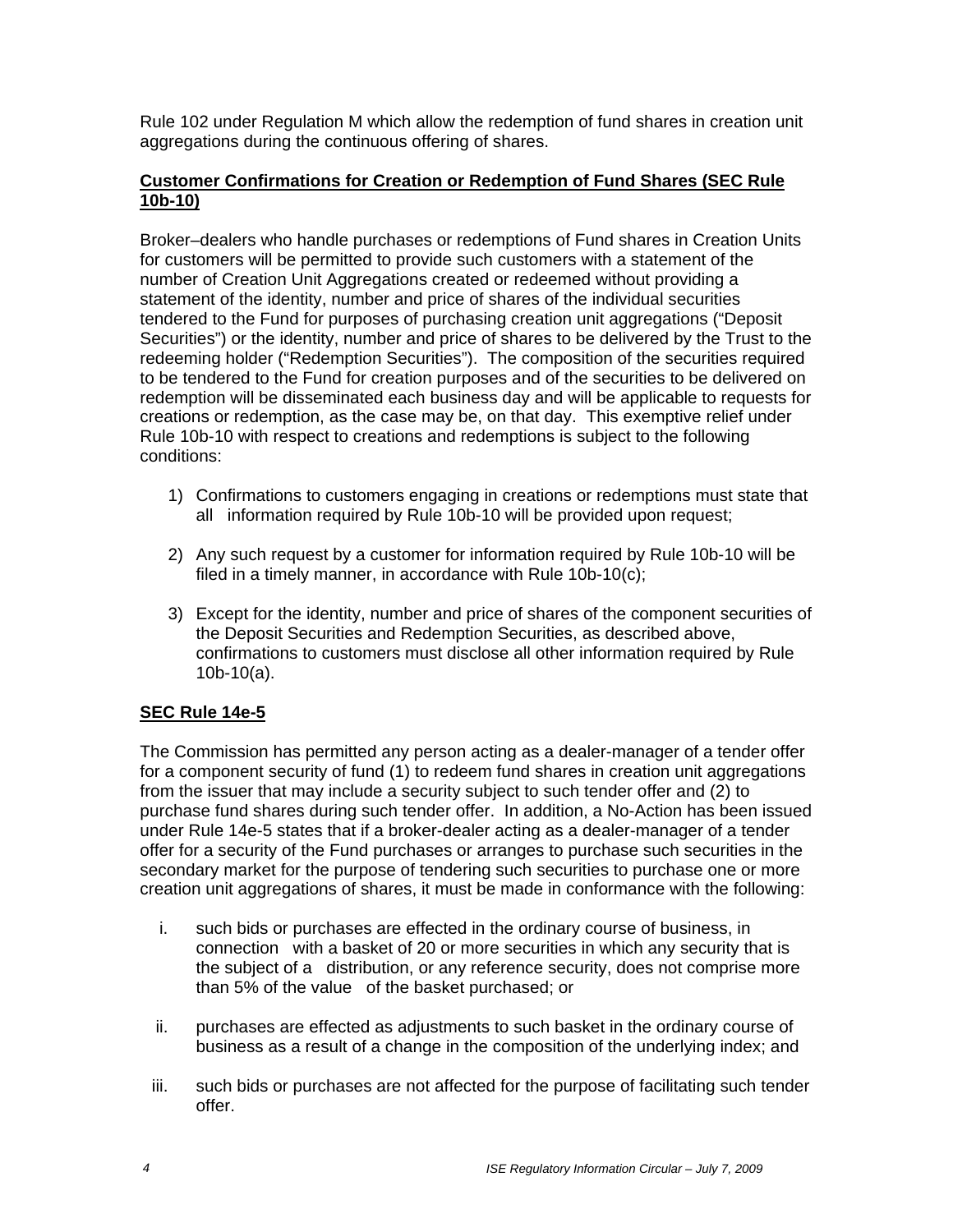Rule 102 under Regulation M which allow the redemption of fund shares in creation unit aggregations during the continuous offering of shares.

#### **Customer Confirmations for Creation or Redemption of Fund Shares (SEC Rule 10b-10)**

Broker–dealers who handle purchases or redemptions of Fund shares in Creation Units for customers will be permitted to provide such customers with a statement of the number of Creation Unit Aggregations created or redeemed without providing a statement of the identity, number and price of shares of the individual securities tendered to the Fund for purposes of purchasing creation unit aggregations ("Deposit Securities") or the identity, number and price of shares to be delivered by the Trust to the redeeming holder ("Redemption Securities"). The composition of the securities required to be tendered to the Fund for creation purposes and of the securities to be delivered on redemption will be disseminated each business day and will be applicable to requests for creations or redemption, as the case may be, on that day. This exemptive relief under Rule 10b-10 with respect to creations and redemptions is subject to the following conditions:

- 1) Confirmations to customers engaging in creations or redemptions must state that all information required by Rule 10b-10 will be provided upon request;
- 2) Any such request by a customer for information required by Rule 10b-10 will be filed in a timely manner, in accordance with Rule 10b-10(c);
- 3) Except for the identity, number and price of shares of the component securities of the Deposit Securities and Redemption Securities, as described above, confirmations to customers must disclose all other information required by Rule 10b-10(a).

# **SEC Rule 14e-5**

The Commission has permitted any person acting as a dealer-manager of a tender offer for a component security of fund (1) to redeem fund shares in creation unit aggregations from the issuer that may include a security subject to such tender offer and (2) to purchase fund shares during such tender offer. In addition, a No-Action has been issued under Rule 14e-5 states that if a broker-dealer acting as a dealer-manager of a tender offer for a security of the Fund purchases or arranges to purchase such securities in the secondary market for the purpose of tendering such securities to purchase one or more creation unit aggregations of shares, it must be made in conformance with the following:

- i. such bids or purchases are effected in the ordinary course of business, in connection with a basket of 20 or more securities in which any security that is the subject of a distribution, or any reference security, does not comprise more than 5% of the value of the basket purchased; or
- ii. purchases are effected as adjustments to such basket in the ordinary course of business as a result of a change in the composition of the underlying index; and
- iii. such bids or purchases are not affected for the purpose of facilitating such tender offer.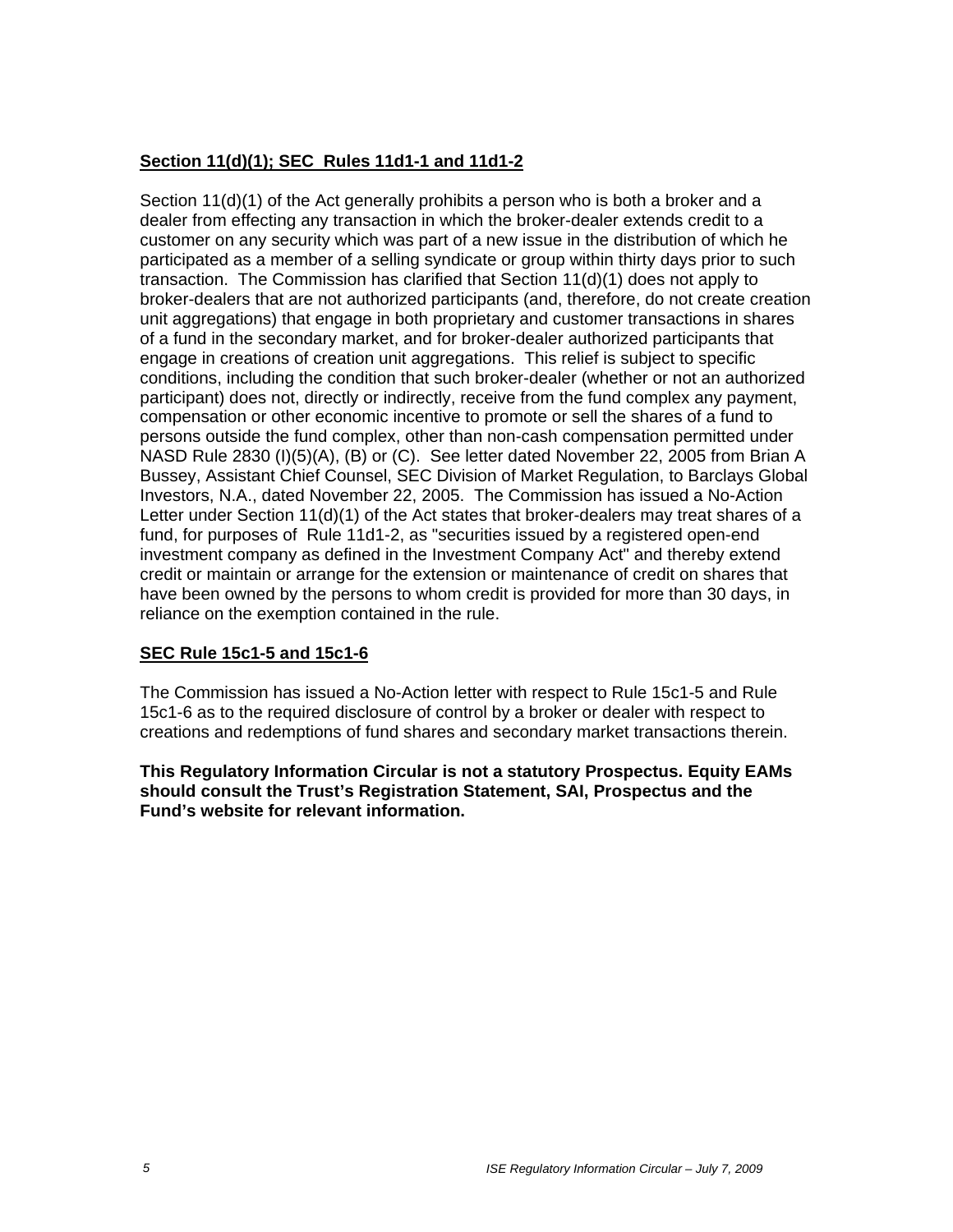# **Section 11(d)(1); SEC Rules 11d1-1 and 11d1-2**

Section 11(d)(1) of the Act generally prohibits a person who is both a broker and a dealer from effecting any transaction in which the broker-dealer extends credit to a customer on any security which was part of a new issue in the distribution of which he participated as a member of a selling syndicate or group within thirty days prior to such transaction. The Commission has clarified that Section 11(d)(1) does not apply to broker-dealers that are not authorized participants (and, therefore, do not create creation unit aggregations) that engage in both proprietary and customer transactions in shares of a fund in the secondary market, and for broker-dealer authorized participants that engage in creations of creation unit aggregations. This relief is subject to specific conditions, including the condition that such broker-dealer (whether or not an authorized participant) does not, directly or indirectly, receive from the fund complex any payment, compensation or other economic incentive to promote or sell the shares of a fund to persons outside the fund complex, other than non-cash compensation permitted under NASD Rule 2830 (I)(5)(A), (B) or (C). See letter dated November 22, 2005 from Brian A Bussey, Assistant Chief Counsel, SEC Division of Market Regulation, to Barclays Global Investors, N.A., dated November 22, 2005. The Commission has issued a No-Action Letter under Section 11(d)(1) of the Act states that broker-dealers may treat shares of a fund, for purposes of Rule 11d1-2, as "securities issued by a registered open-end investment company as defined in the Investment Company Act" and thereby extend credit or maintain or arrange for the extension or maintenance of credit on shares that have been owned by the persons to whom credit is provided for more than 30 days, in reliance on the exemption contained in the rule.

# **SEC Rule 15c1-5 and 15c1-6**

The Commission has issued a No-Action letter with respect to Rule 15c1-5 and Rule 15c1-6 as to the required disclosure of control by a broker or dealer with respect to creations and redemptions of fund shares and secondary market transactions therein.

**This Regulatory Information Circular is not a statutory Prospectus. Equity EAMs should consult the Trust's Registration Statement, SAI, Prospectus and the Fund's website for relevant information.**